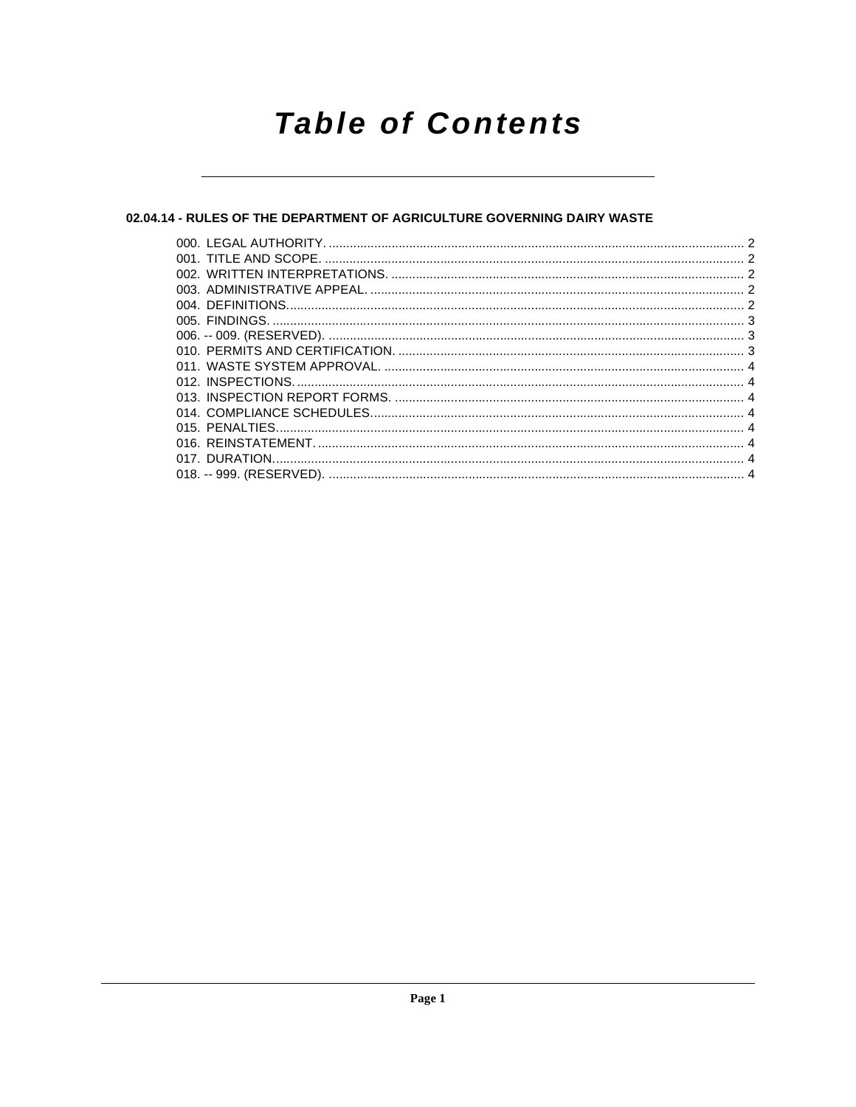# **Table of Contents**

# 02.04.14 - RULES OF THE DEPARTMENT OF AGRICULTURE GOVERNING DAIRY WASTE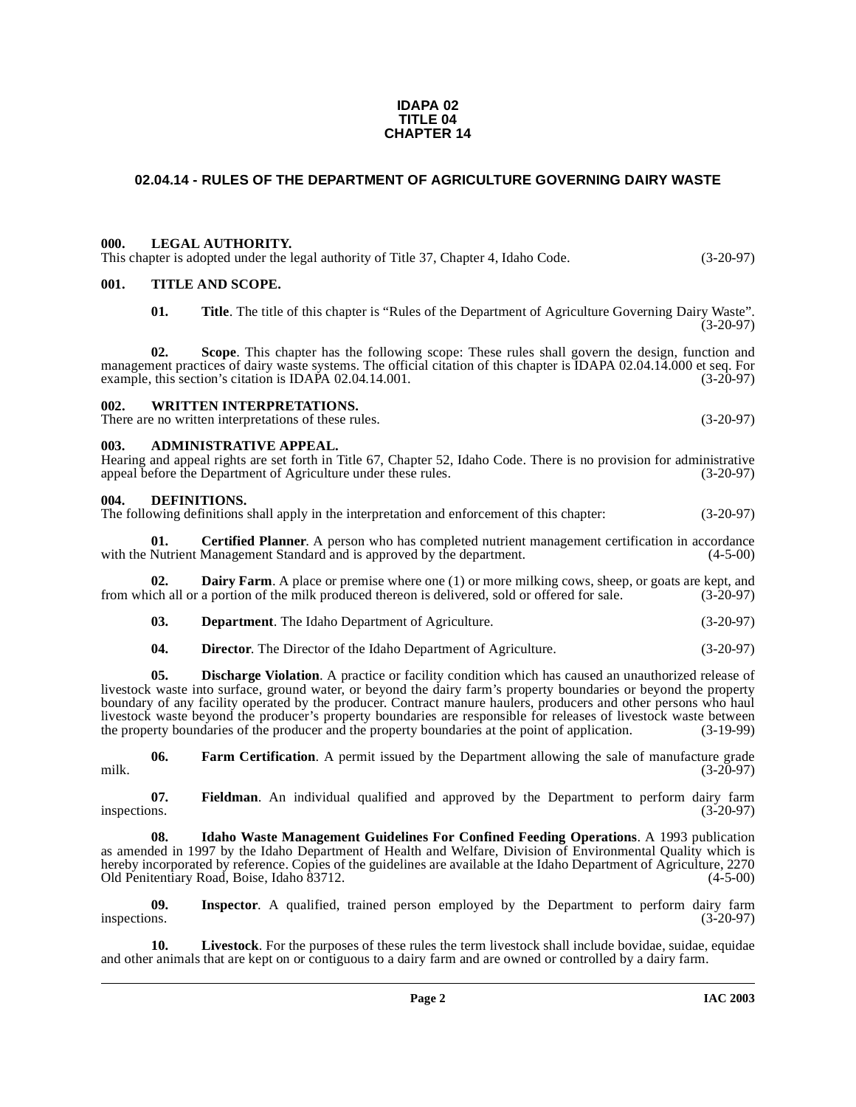#### **IDAPA 02 TITLE 04 CHAPTER 14**

# <span id="page-1-0"></span>**02.04.14 - RULES OF THE DEPARTMENT OF AGRICULTURE GOVERNING DAIRY WASTE**

# <span id="page-1-1"></span>**000. LEGAL AUTHORITY.**

This chapter is adopted under the legal authority of Title 37, Chapter 4, Idaho Code. (3-20-97)

# <span id="page-1-2"></span>**001. TITLE AND SCOPE.**

**01. Title**. The title of this chapter is "Rules of the Department of Agriculture Governing Dairy Waste".  $(3-20-97)$ 

**02. Scope**. This chapter has the following scope: These rules shall govern the design, function and management practices of dairy waste systems. The official citation of this chapter is IDAPA 02.04.14.000 et seq. For example, this section's citation is IDAPA 02.04.14.001. (3-20-97)

#### <span id="page-1-3"></span>**002. WRITTEN INTERPRETATIONS.**

There are no written interpretations of these rules. (3-20-97)

#### <span id="page-1-4"></span>**003. ADMINISTRATIVE APPEAL.**

Hearing and appeal rights are set forth in Title 67, Chapter 52, Idaho Code. There is no provision for administrative appeal before the Department of Agriculture under these rules. (3-20-97) appeal before the Department of Agriculture under these rules.

#### <span id="page-1-8"></span><span id="page-1-5"></span>**004. DEFINITIONS.**

The following definitions shall apply in the interpretation and enforcement of this chapter: (3-20-97)

<span id="page-1-6"></span>**01. Certified Planner**. A person who has completed nutrient management certification in accordance Nutrient Management Standard and is approved by the department. (4-5-00) with the Nutrient Management Standard and is approved by the department.

**02. Dairy Farm**. A place or premise where one (1) or more milking cows, sheep, or goats are kept, and ich all or a portion of the milk produced thereon is delivered, sold or offered for sale. (3-20-97) from which all or a portion of the milk produced thereon is delivered, sold or offered for sale.

<span id="page-1-7"></span>**03. Department**. The Idaho Department of Agriculture. (3-20-97)

<span id="page-1-9"></span>**04. Director**. The Director of the Idaho Department of Agriculture. (3-20-97)

**05. Discharge Violation**. A practice or facility condition which has caused an unauthorized release of livestock waste into surface, ground water, or beyond the dairy farm's property boundaries or beyond the property boundary of any facility operated by the producer. Contract manure haulers, producers and other persons who haul livestock waste beyond the producer's property boundaries are responsible for releases of livestock waste between the property boundaries of the producer and the property boundaries at the point of application. (3-19-99)

<span id="page-1-10"></span>**06.** Farm Certification. A permit issued by the Department allowing the sale of manufacture grade (3-20-97) milk. (3-20-97)

<span id="page-1-11"></span>**07. Fieldman**. An individual qualified and approved by the Department to perform dairy farm inspections.  $(3-20-97)$ 

<span id="page-1-12"></span>**08. Idaho Waste Management Guidelines For Confined Feeding Operations**. A 1993 publication as amended in 1997 by the Idaho Department of Health and Welfare, Division of Environmental Quality which is hereby incorporated by reference. Copies of the guidelines are available at the Idaho Department of Agriculture, 2270<br>Old Penitentiary Road, Boise, Idaho 83712. Old Penitentiary Road, Boise, Idaho 83712.

<span id="page-1-13"></span>**09. Inspector**. A qualified, trained person employed by the Department to perform dairy farm inspections.  $(3-20-97)$ 

**10. Livestock**. For the purposes of these rules the term livestock shall include bovidae, suidae, equidae and other animals that are kept on or contiguous to a dairy farm and are owned or controlled by a dairy farm.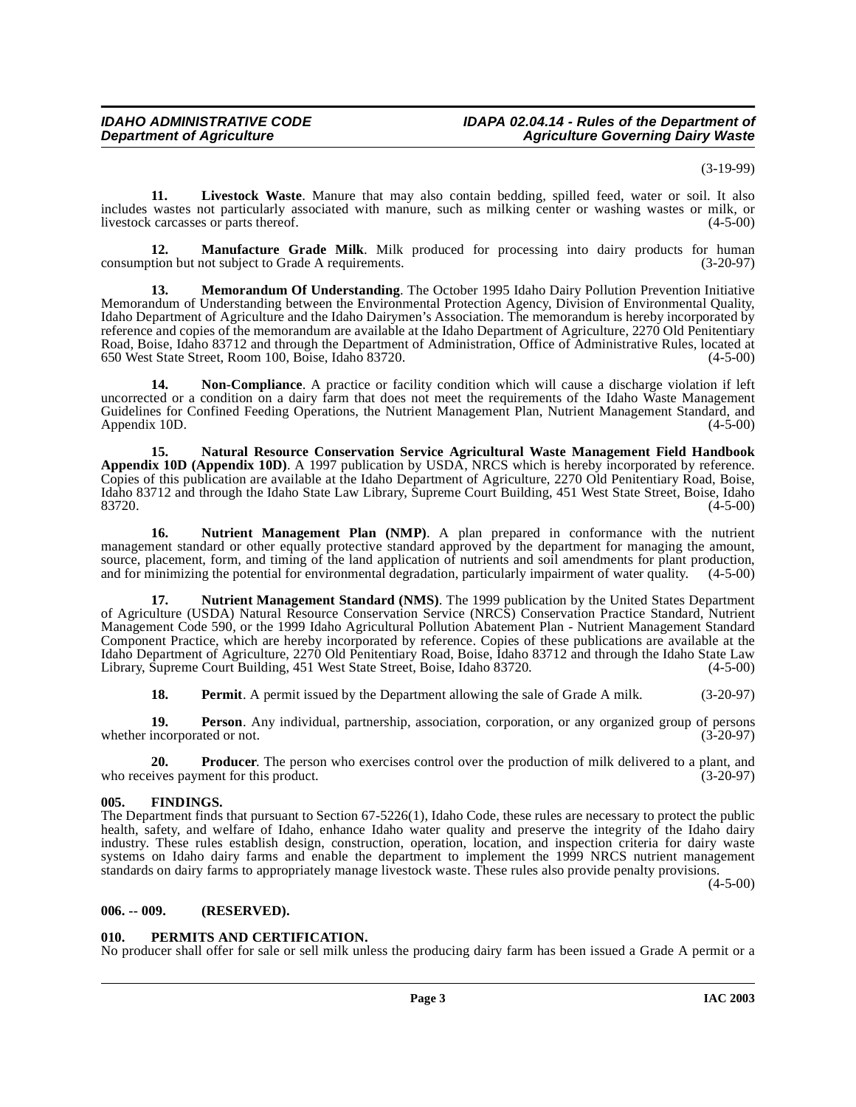(3-19-99)

<span id="page-2-3"></span>**11. Livestock Waste**. Manure that may also contain bedding, spilled feed, water or soil. It also includes wastes not particularly associated with manure, such as milking center or washing wastes or milk, or<br>livestock carcasses or parts thereof. (4-5-00) livestock carcasses or parts thereof.

<span id="page-2-4"></span>**12. Manufacture Grade Milk**. Milk produced for processing into dairy products for human tion but not subject to Grade A requirements. (3-20-97) consumption but not subject to Grade A requirements.

<span id="page-2-5"></span>**13. Memorandum Of Understanding**. The October 1995 Idaho Dairy Pollution Prevention Initiative Memorandum of Understanding between the Environmental Protection Agency, Division of Environmental Quality, Idaho Department of Agriculture and the Idaho Dairymen's Association. The memorandum is hereby incorporated by reference and copies of the memorandum are available at the Idaho Department of Agriculture, 2270 Old Penitentiary Road, Boise, Idaho 83712 and through the Department of Administration, Office of Administrative Rules, located at 650 West State Street, Room 100, Boise, Idaho 83720.

<span id="page-2-7"></span>**14. Non-Compliance**. A practice or facility condition which will cause a discharge violation if left uncorrected or a condition on a dairy farm that does not meet the requirements of the Idaho Waste Management Guidelines for Confined Feeding Operations, the Nutrient Management Plan, Nutrient Management Standard, and Appendix 10D. (4-5-00) Appendix 10D.

<span id="page-2-6"></span>**15. Natural Resource Conservation Service Agricultural Waste Management Field Handbook Appendix 10D (Appendix 10D)**. A 1997 publication by USDA, NRCS which is hereby incorporated by reference. Copies of this publication are available at the Idaho Department of Agriculture, 2270 Old Penitentiary Road, Boise, Idaho 83712 and through the Idaho State Law Library, Supreme Court Building, 451 West State Street, Boise, Idaho 83720. (4-5-00)

<span id="page-2-8"></span>**16. Nutrient Management Plan (NMP)**. A plan prepared in conformance with the nutrient management standard or other equally protective standard approved by the department for managing the amount, source, placement, form, and timing of the land application of nutrients and soil amendments for plant production, and for minimizing the potential for environmental degradation, particularly impairment of water quality. (4-5-00)

<span id="page-2-9"></span>**17. Nutrient Management Standard (NMS)**. The 1999 publication by the United States Department of Agriculture (USDA) Natural Resource Conservation Service (NRCS) Conservation Practice Standard, Nutrient Management Code 590, or the 1999 Idaho Agricultural Pollution Abatement Plan - Nutrient Management Standard Component Practice, which are hereby incorporated by reference. Copies of these publications are available at the Idaho Department of Agriculture, 2270 Old Penitentiary Road, Boise, Idaho 83712 and through the Idaho State Law<br>Library, Supreme Court Building, 451 West State Street, Boise, Idaho 83720. (4-5-00) Library, Supreme Court Building, 451 West State Street, Boise, Idaho 83720.

<span id="page-2-10"></span>**18. Permit**. A permit issued by the Department allowing the sale of Grade A milk. (3-20-97)

**19. Person**. Any individual, partnership, association, corporation, or any organized group of persons incorporated or not. (3-20-97) whether incorporated or not.

**20. Producer**. The person who exercises control over the production of milk delivered to a plant, and ives payment for this product. (3-20-97) who receives payment for this product.

# <span id="page-2-0"></span>**005. FINDINGS.**

The Department finds that pursuant to Section 67-5226(1), Idaho Code, these rules are necessary to protect the public health, safety, and welfare of Idaho, enhance Idaho water quality and preserve the integrity of the Idaho dairy industry. These rules establish design, construction, operation, location, and inspection criteria for dairy waste systems on Idaho dairy farms and enable the department to implement the 1999 NRCS nutrient management standards on dairy farms to appropriately manage livestock waste. These rules also provide penalty provisions.

(4-5-00)

# <span id="page-2-1"></span>**006. -- 009. (RESERVED).**

# <span id="page-2-11"></span><span id="page-2-2"></span>**010. PERMITS AND CERTIFICATION.**

No producer shall offer for sale or sell milk unless the producing dairy farm has been issued a Grade A permit or a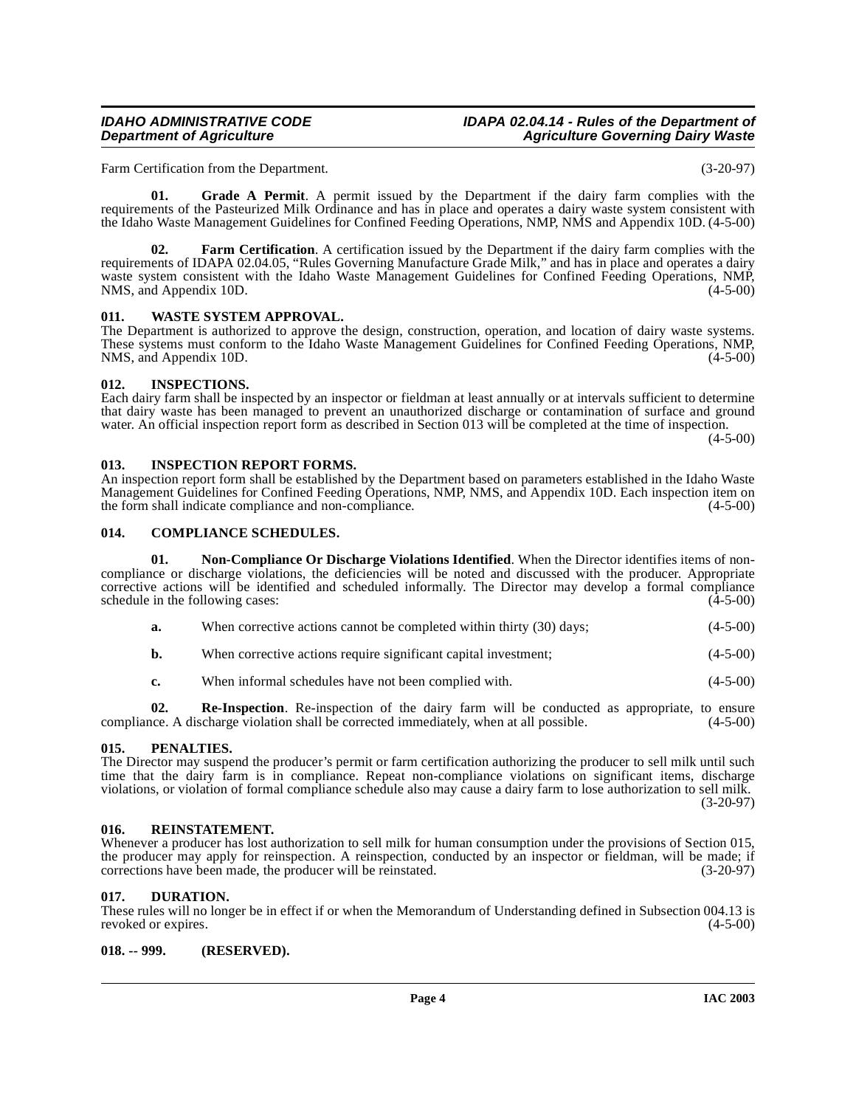### **IDAHO ADMINISTRATIVE CODE IDAPA 02.04.14 - Rules of the Department of Agriculture Governing Dairy Waste**

Farm Certification from the Department. (3-20-97)

<span id="page-3-10"></span>**01. Grade A Permit**. A permit issued by the Department if the dairy farm complies with the requirements of the Pasteurized Milk Ordinance and has in place and operates a dairy waste system consistent with the Idaho Waste Management Guidelines for Confined Feeding Operations, NMP, NMS and Appendix 10D. (4-5-00)

<span id="page-3-9"></span>**02. Farm Certification**[. A certification issued by the Department if the dairy farm complies with the](http://www2.state.id.us/adm/adminrules/rules/idapa02/0405.pdf) requirements of IDAPA 02.04.05, "Rules Governing Manufacture Grade Milk," and has in place and operates a dairy [waste system consistent with the Idaho Waste Management Guidelines for Confined Feeding Operations, NMP,](http://www2.state.id.us/adm/adminrules/rules/idapa02/0405.pdf) NMS, and Appendix 10D. (4-5-00) NMS, and Appendix 10D.

# <span id="page-3-16"></span><span id="page-3-0"></span>**011. WASTE SYSTEM APPROVAL.**

The Department is authorized to approve the design, construction, operation, and location of dairy waste systems. These systems must conform to the Idaho Waste Management Guidelines for Confined Feeding Operations, NMP, NMS, and Appendix 10D.

# <span id="page-3-12"></span><span id="page-3-1"></span>**012. INSPECTIONS.**

Each dairy farm shall be inspected by an inspector or fieldman at least annually or at intervals sufficient to determine that dairy waste has been managed to prevent an unauthorized discharge or contamination of surface and ground water. An official inspection report form as described in Section 013 will be completed at the time of inspection.  $(4-5-00)$ 

# <span id="page-3-11"></span><span id="page-3-2"></span>**013. INSPECTION REPORT FORMS.**

An inspection report form shall be established by the Department based on parameters established in the Idaho Waste Management Guidelines for Confined Feeding Operations, NMP, NMS, and Appendix 10D. Each inspection item on the form shall indicate compliance and non-compliance. the form shall indicate compliance and non-compliance.

# <span id="page-3-8"></span><span id="page-3-3"></span>**014. COMPLIANCE SCHEDULES.**

**01. Non-Compliance Or Discharge Violations Identified**. When the Director identifies items of noncompliance or discharge violations, the deficiencies will be noted and discussed with the producer. Appropriate corrective actions will be identified and scheduled informally. The Director may develop a formal compliance schedule in the following cases: (4-5-00) schedule in the following cases:

- <span id="page-3-13"></span>**a.** When corrective actions cannot be completed within thirty (30) days; (4-5-00)
- **b.** When corrective actions require significant capital investment; (4-5-00)
- **c.** When informal schedules have not been complied with. (4-5-00)

**02. Re-Inspection**. Re-inspection of the dairy farm will be conducted as appropriate, to ensure compliance. A discharge violation shall be corrected immediately, when at all possible. (4-5-00)

#### <span id="page-3-14"></span><span id="page-3-4"></span>**015. PENALTIES.**

The Director may suspend the producer's permit or farm certification authorizing the producer to sell milk until such time that the dairy farm is in compliance. Repeat non-compliance violations on significant items, discharge violations, or violation of formal compliance schedule also may cause a dairy farm to lose authorization to sell milk. (3-20-97)

#### <span id="page-3-15"></span><span id="page-3-5"></span>**016. REINSTATEMENT.**

Whenever a producer has lost authorization to sell milk for human consumption under the provisions of Section 015, the producer may apply for reinspection. A reinspection, conducted by an inspector or fieldman, will be made; if corrections have been made, the producer will be reinstated.  $(3-20-97)$ corrections have been made, the producer will be reinstated.

# <span id="page-3-6"></span>**017. DURATION.**

These rules will no longer be in effect if or when the Memorandum of Understanding defined in Subsection 004.13 is revoked or expires. (4-5-00)

### <span id="page-3-7"></span>**018. -- 999. (RESERVED).**